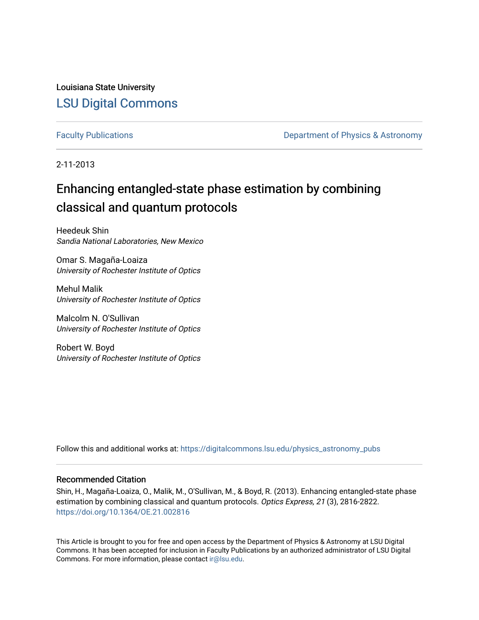Louisiana State University [LSU Digital Commons](https://digitalcommons.lsu.edu/)

[Faculty Publications](https://digitalcommons.lsu.edu/physics_astronomy_pubs) **Exercise 2 and Table 2 and Table 2 and Table 2 and Table 2 and Table 2 and Table 2 and Table 2 and Table 2 and Table 2 and Table 2 and Table 2 and Table 2 and Table 2 and Table 2 and Table 2 and Table** 

2-11-2013

# Enhancing entangled-state phase estimation by combining classical and quantum protocols

Heedeuk Shin Sandia National Laboratories, New Mexico

Omar S. Magaña-Loaiza University of Rochester Institute of Optics

Mehul Malik University of Rochester Institute of Optics

Malcolm N. O'Sullivan University of Rochester Institute of Optics

Robert W. Boyd University of Rochester Institute of Optics

Follow this and additional works at: [https://digitalcommons.lsu.edu/physics\\_astronomy\\_pubs](https://digitalcommons.lsu.edu/physics_astronomy_pubs?utm_source=digitalcommons.lsu.edu%2Fphysics_astronomy_pubs%2F3027&utm_medium=PDF&utm_campaign=PDFCoverPages) 

# Recommended Citation

Shin, H., Magaña-Loaiza, O., Malik, M., O'Sullivan, M., & Boyd, R. (2013). Enhancing entangled-state phase estimation by combining classical and quantum protocols. Optics Express, 21 (3), 2816-2822. <https://doi.org/10.1364/OE.21.002816>

This Article is brought to you for free and open access by the Department of Physics & Astronomy at LSU Digital Commons. It has been accepted for inclusion in Faculty Publications by an authorized administrator of LSU Digital Commons. For more information, please contact [ir@lsu.edu](mailto:ir@lsu.edu).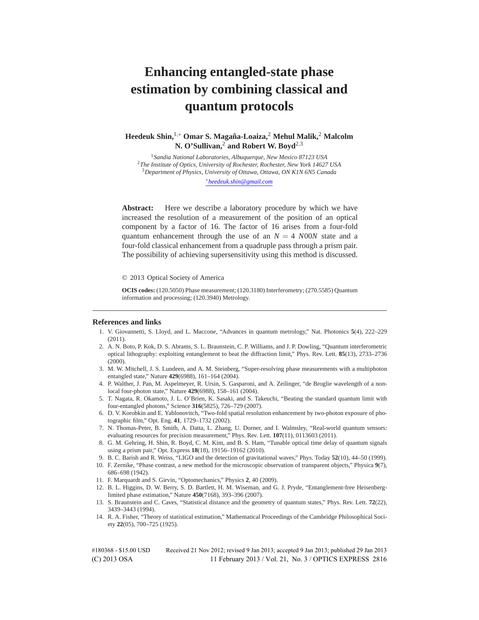# **Enhancing entangled-state phase estimation by combining classical and quantum protocols**

**Heedeuk Shin,**1*,*<sup>∗</sup> **Omar S. Magana-Loaiza, ˜** <sup>2</sup> **Mehul Malik,**<sup>2</sup> **Malcolm N. O'Sullivan,**<sup>2</sup> **and Robert W. Boyd**2*,*<sup>3</sup>

*Sandia National Laboratories, Albuquerque, New Mexico 87123 USA The Institute of Optics, University of Rochester, Rochester, New York 14627 USA Department of Physics, University of Ottawa, Ottawa, ON K1N 6N5 Canada* ∗*heedeuk.shin@gmail.com*

**Abstract:** Here we describe a laboratory procedure by which we have increased the resolution of a measurement of the position of an optical component by a factor of 16. The factor of 16 arises from a four-fold quantum enhancement through the use of an  $N = 4$  *NOON* state and a four-fold classical enhancement from a quadruple pass through a prism pair. The possibility of achieving supersensitivity using this method is discussed.

© 2013 Optical Society of America

**OCIS codes:** (120.5050) Phase measurement; (120.3180) Interferometry; (270.5585) Quantum information and processing; (120.3940) Metrology.

#### **References and links**

- 1. V. Giovannetti, S. Lloyd, and L. Maccone, "Advances in quantum metrology," Nat. Photonics **5**(4), 222–229 (2011).
- 2. A. N. Boto, P. Kok, D. S. Abrams, S. L. Braunstein, C. P. Williams, and J. P. Dowling, "Quantum interferometric optical lithography: exploiting entanglement to beat the diffraction limit," Phys. Rev. Lett. **85**(13), 2733–2736 (2000).
- 3. M. W. Mitchell, J. S. Lundeen, and A. M. Steinberg, "Super-resolving phase measurements with a multiphoton entangled state," Nature **429**(6988), 161–164 (2004).
- 4. P. Walther, J. Pan, M. Aspelmeyer, R. Ursin, S. Gasparoni, and A. Zeilinger, "de Broglie wavelength of a nonlocal four-photon state," Nature **429**(6988), 158–161 (2004).
- 5. T. Nagata, R. Okamoto, J. L. O'Brien, K. Sasaki, and S. Takeuchi, "Beating the standard quantum limit with four-entangled photons," Science **316**(5825), 726–729 (2007).
- 6. D. V. Korobkin and E. Yablonovitch, "Two-fold spatial resolution enhancement by two-photon exposure of photographic film," Opt. Eng. **41**, 1729–1732 (2002).
- 7. N. Thomas-Peter, B. Smith, A. Datta, L. Zhang, U. Dorner, and I. Walmsley, "Real-world quantum sensors: evaluating resources for precision measurement," Phys. Rev. Lett. **107**(11), 0113603 (2011).
- 8. G. M. Gehring, H. Shin, R. Boyd, C. M. Kim, and B. S. Ham, "Tunable optical time delay of quantum signals using a prism pair," Opt. Express **18**(18), 19156–19162 (2010).
- 9. B. C. Barish and R. Weiss, "LIGO and the detection of gravitational waves," Phys. Today **52**(10), 44–50 (1999).
- 10. F. Zernike, "Phase contrast, a new method for the microscopic observation of transparent objects," Physica **9**(7), 686–698 (1942).
- 11. F. Marquardt and S. Girvin, "Optomechanics," Physics **2**, 40 (2009).
- 12. B. L. Higgins, D. W. Berry, S. D. Bartlett, H. M. Wiseman, and G. J. Pryde, "Entanglement-free Heisenberglimited phase estimation," Nature **450**(7168), 393–396 (2007).
- 13. S. Braunstein and C. Caves, "Statistical distance and the geometry of quantum states," Phys. Rev. Lett. **72**(22), 3439–3443 (1994).
- 14. R. A. Fisher, "Theory of statistical estimation," Mathematical Proceedings of the Cambridge Philosophical Society **22**(05), 700–725 (1925).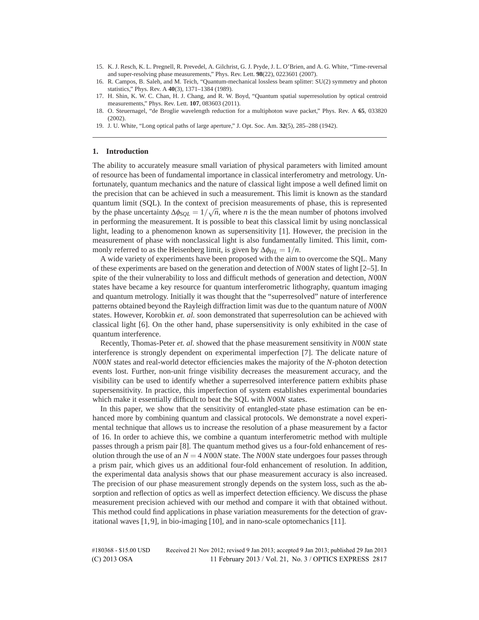- 15. K. J. Resch, K. L. Pregnell, R. Prevedel, A. Gilchrist, G. J. Pryde, J. L. O'Brien, and A. G. White, "Time-reversal and super-resolving phase measurements," Phys. Rev. Lett. **98**(22), 0223601 (2007).
- 16. R. Campos, B. Saleh, and M. Teich, "Quantum-mechanical lossless beam splitter: SU(2) symmetry and photon statistics," Phys. Rev. A **40**(3), 1371–1384 (1989).
- 17. H. Shin, K. W. C. Chan, H. J. Chang, and R. W. Boyd, "Quantum spatial superresolution by optical centroid measurements," Phys. Rev. Lett. **107**, 083603 (2011).
- 18. O. Steuernagel, "de Broglie wavelength reduction for a multiphoton wave packet," Phys. Rev. A **65**, 033820 (2002).
- 19. J. U. White, "Long optical paths of large aperture," J. Opt. Soc. Am. **32**(5), 285–288 (1942).

#### **1. Introduction**

The ability to accurately measure small variation of physical parameters with limited amount of resource has been of fundamental importance in classical interferometry and metrology. Unfortunately, quantum mechanics and the nature of classical light impose a well defined limit on the precision that can be achieved in such a measurement. This limit is known as the standard quantum limit (SQL). In the context of precision measurements of phase, this is represented by the phase uncertainty  $\Delta \phi_{SQL} = 1/\sqrt{n}$ , where *n* is the the mean number of photons involved in performing the measurement. It is possible to beat this classical limit by using nonclassical light, leading to a phenomenon known as supersensitivity [1]. However, the precision in the measurement of phase with nonclassical light is also fundamentally limited. This limit, commonly referred to as the Heisenberg limit, is given by  $\Delta \phi_{HL} = 1/n$ .

A wide variety of experiments have been proposed with the aim to overcome the SQL. Many of these experiments are based on the generation and detection of *N*00*N* states of light [2–5]. In spite of the their vulnerability to loss and difficult methods of generation and detection, *N*00*N* states have became a key resource for quantum interferometric lithography, quantum imaging and quantum metrology. Initially it was thought that the "superresolved" nature of interference patterns obtained beyond the Rayleigh diffraction limit was due to the quantum nature of *N*00*N* states. However, Korobkin *et. al.* soon demonstrated that superresolution can be achieved with classical light [6]. On the other hand, phase supersensitivity is only exhibited in the case of quantum interference.

Recently, Thomas-Peter *et. al.* showed that the phase measurement sensitivity in *N*00*N* state interference is strongly dependent on experimental imperfection [7]. The delicate nature of *N*00*N* states and real-world detector efficiencies makes the majority of the *N*-photon detection events lost. Further, non-unit fringe visibility decreases the measurement accuracy, and the visibility can be used to identify whether a superresolved interference pattern exhibits phase supersensitivity. In practice, this imperfection of system establishes experimental boundaries which make it essentially difficult to beat the SQL with *N*00*N* states.

In this paper, we show that the sensitivity of entangled-state phase estimation can be enhanced more by combining quantum and classical protocols. We demonstrate a novel experimental technique that allows us to increase the resolution of a phase measurement by a factor of 16. In order to achieve this, we combine a quantum interferometric method with multiple passes through a prism pair [8]. The quantum method gives us a four-fold enhancement of resolution through the use of an  $N = 4 N00N$  state. The *NOON* state undergoes four passes through a prism pair, which gives us an additional four-fold enhancement of resolution. In addition, the experimental data analysis shows that our phase measurement accuracy is also increased. The precision of our phase measurement strongly depends on the system loss, such as the absorption and reflection of optics as well as imperfect detection efficiency. We discuss the phase measurement precision achieved with our method and compare it with that obtained without. This method could find applications in phase variation measurements for the detection of gravitational waves [1, 9], in bio-imaging [10], and in nano-scale optomechanics [11].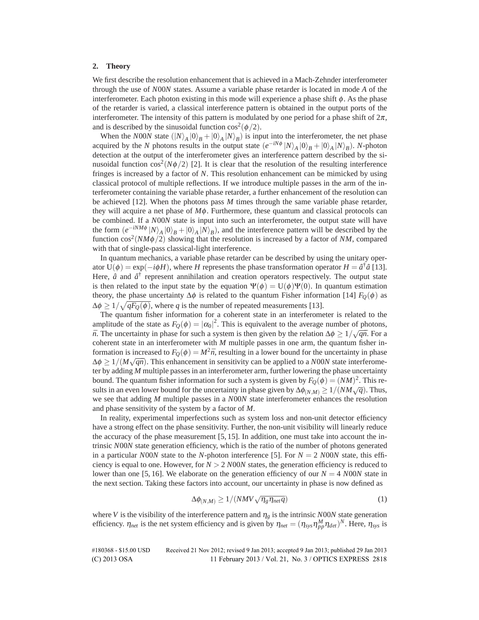#### **2. Theory**

We first describe the resolution enhancement that is achieved in a Mach-Zehnder interferometer through the use of *N*00*N* states. Assume a variable phase retarder is located in mode *A* of the interferometer. Each photon existing in this mode will experience a phase shift  $\phi$ . As the phase of the retarder is varied, a classical interference pattern is obtained in the output ports of the interferometer. The intensity of this pattern is modulated by one period for a phase shift of  $2\pi$ , and is described by the sinusoidal function  $\cos^2(\phi/2)$ .

When the *N*00*N* state  $(|N\rangle_A |0\rangle_B + |0\rangle_A |N\rangle_B)$  is input into the interferometer, the net phase acquired by the *N* photons results in the output state  $(e^{-iN\phi} |N\rangle_A |0\rangle_B + |0\rangle_A |N\rangle_B)$ . *N*-photon detection at the output of the interferometer gives an interference pattern described by the sinusoidal function  $\cos^2(N\phi/2)$  [2]. It is clear that the resolution of the resulting interference fringes is increased by a factor of *N*. This resolution enhancement can be mimicked by using classical protocol of multiple reflections. If we introduce multiple passes in the arm of the interferometer containing the variable phase retarder, a further enhancement of the resolution can be achieved [12]. When the photons pass *M* times through the same variable phase retarder, they will acquire a net phase of *M*φ. Furthermore, these quantum and classical protocols can be combined. If a *N*00*N* state is input into such an interferometer, the output state will have the form  $(e^{-iNM\phi}|N\rangle_A|0\rangle_B+|0\rangle_A|N\rangle_B)$ , and the interference pattern will be described by the function  $\cos^2(NM\phi/2)$  showing that the resolution is increased by a factor of NM, compared with that of single-pass classical-light interference.

In quantum mechanics, a variable phase retarder can be described by using the unitary operator  $U(\phi) = \exp(-i\phi H)$ , where *H* represents the phase transformation operator  $H = \hat{a}^\dagger \hat{a}$  [13]. Here,  $\hat{a}$  and  $\hat{a}^{\dagger}$  represent annihilation and creation operators respectively. The output state is then related to the input state by the equation  $\Psi(\phi) = U(\phi)\Psi(0)$ . In quantum estimation theory, the phase uncertainty  $\Delta\phi$  is related to the quantum Fisher information [14]  $F<sub>O</sub>(\phi)$  as  $\Delta \phi \geq 1/\sqrt{qF_Q(\phi)}$ , where *q* is the number of repeated measurements [13].

The quantum fisher information for a coherent state in an interferometer is related to the amplitude of the state as  $F_Q(\phi) = |\alpha_0|^2$ . This is equivalent to the average number of photons,  $\overline{n}$ . The uncertainty in phase for such a system is then given by the relation  $\Delta \phi \geq 1/\sqrt{\overline{q}\bar{n}}$ . For a coherent state in an interferometer with *M* multiple passes in one arm, the quantum fisher information is increased to  $F<sub>O</sub>(\phi) = M^2 \bar{n}$ , resulting in a lower bound for the uncertainty in phase  $\Delta \phi \geq 1/(M\sqrt{q\bar{n}})$ . This enhancement in sensitivity can be applied to a *NOON* state interferometer by adding *M* multiple passes in an interferometer arm, further lowering the phase uncertainty bound. The quantum fisher information for such a system is given by  $F_Q(\phi)=(NM)^2$ . This results in an even lower bound for the uncertainty in phase given by  $\Delta\phi_{(N,M)} \geq 1/(NM\sqrt{q})$ . Thus, we see that adding *M* multiple passes in a *N*00*N* state interferometer enhances the resolution and phase sensitivity of the system by a factor of *M*.

In reality, experimental imperfections such as system loss and non-unit detector efficiency have a strong effect on the phase sensitivity. Further, the non-unit visibility will linearly reduce the accuracy of the phase measurement  $[5, 15]$ . In addition, one must take into account the intrinsic *N*00*N* state generation efficiency, which is the ratio of the number of photons generated in a particular *N*00*N* state to the *N*-photon interference [5]. For  $N = 2$  *N00N* state, this efficiency is equal to one. However, for  $N > 2$  *N*00*N* states, the generation efficiency is reduced to lower than one [5, 16]. We elaborate on the generation efficiency of our  $N = 4$  *NOON* state in the next section. Taking these factors into account, our uncertainty in phase is now defined as

$$
\Delta\phi_{(N,M)} \ge 1/(NMV\sqrt{\eta_g \eta_{net} q})\tag{1}
$$

where *V* is the visibility of the interference pattern and  $\eta_g$  is the intrinsic *N*00*N* state generation efficiency.  $\eta_{net}$  is the net system efficiency and is given by  $\eta_{net} = (\eta_{sys} \eta_{pp}^M \eta_{det})^N$ . Here,  $\eta_{sys}$  is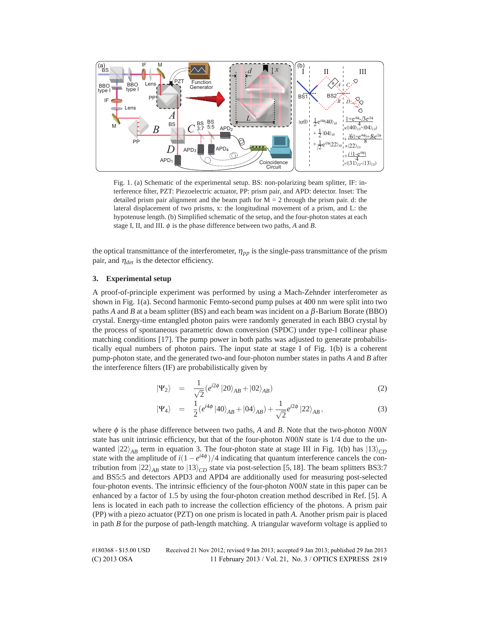

Fig. 1. (a) Schematic of the experimental setup. BS: non-polarizing beam splitter, IF: interference filter, PZT: Piezoelectric actuator, PP: prism pair, and APD: detector. Inset: The detailed prism pair alignment and the beam path for  $M = 2$  through the prism pair. d: the lateral displacement of two prisms, x: the longitudinal movement of a prism, and L: the hypotenuse length. (b) Simplified schematic of the setup, and the four-photon states at each stage I, II, and III.  $\phi$  is the phase difference between two paths, *A* and *B*.

the optical transmittance of the interferometer,  $\eta_{pp}$  is the single-pass transmittance of the prism pair, and  $\eta_{det}$  is the detector efficiency.

### **3. Experimental setup**

A proof-of-principle experiment was performed by using a Mach-Zehnder interferometer as shown in Fig. 1(a). Second harmonic Femto-second pump pulses at 400 nm were split into two paths *A* and *B* at a beam splitter (BS) and each beam was incident on a  $\beta$ -Barium Borate (BBO) crystal. Energy-time entangled photon pairs were randomly generated in each BBO crystal by the process of spontaneous parametric down conversion (SPDC) under type-I collinear phase matching conditions [17]. The pump power in both paths was adjusted to generate probabilistically equal numbers of photon pairs. The input state at stage I of Fig. 1(b) is a coherent pump-photon state, and the generated two-and four-photon number states in paths *A* and *B* after the interference filters (IF) are probabilistically given by

$$
|\Psi_2\rangle = \frac{1}{\sqrt{2}} (e^{i2\phi} |20\rangle_{AB} + |02\rangle_{AB})
$$
 (2)

$$
|\Psi_4\rangle = \frac{1}{2} (e^{i4\phi} |40\rangle_{AB} + |04\rangle_{AB}) + \frac{1}{\sqrt{2}} e^{i2\phi} |22\rangle_{AB}, \qquad (3)
$$

where  $\phi$  is the phase difference between two paths, *A* and *B*. Note that the two-photon *N*00*N* state has unit intrinsic efficiency, but that of the four-photon *N*00*N* state is 1/4 due to the unwanted  $|22\rangle_{AB}$  term in equation 3. The four-photon state at stage III in Fig. 1(b) has  $|13\rangle_{CD}$ state with the amplitude of  $i(1-e^{i4\phi})/4$  indicating that quantum interference cancels the contribution from  $|22\rangle_{AB}$  state to  $|13\rangle_{CD}$  state via post-selection [5, 18]. The beam splitters BS3:7 and BS5:5 and detectors APD3 and APD4 are additionally used for measuring post-selected four-photon events. The intrinsic efficiency of the four-photon *N*00*N* state in this paper can be enhanced by a factor of 1.5 by using the four-photon creation method described in Ref. [5]. A lens is located in each path to increase the collection efficiency of the photons. A prism pair (PP) with a piezo actuator (PZT) on one prism is located in path *A*. Another prism pair is placed in path *B* for the purpose of path-length matching. A triangular waveform voltage is applied to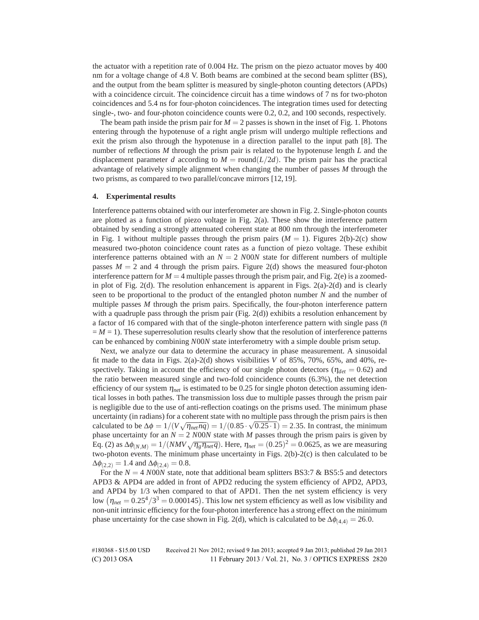the actuator with a repetition rate of 0.004 Hz. The prism on the piezo actuator moves by 400 nm for a voltage change of 4.8 V. Both beams are combined at the second beam splitter (BS), and the output from the beam splitter is measured by single-photon counting detectors (APDs) with a coincidence circuit. The coincidence circuit has a time windows of 7 ns for two-photon coincidences and 5.4 ns for four-photon coincidences. The integration times used for detecting single-, two- and four-photon coincidence counts were 0.2, 0.2, and 100 seconds, respectively.

The beam path inside the prism pair for  $M = 2$  passes is shown in the inset of Fig. 1. Photons entering through the hypotenuse of a right angle prism will undergo multiple reflections and exit the prism also through the hypotenuse in a direction parallel to the input path [8]. The number of reflections *M* through the prism pair is related to the hypotenuse length *L* and the displacement parameter *d* according to  $M = \text{round}(L/2d)$ . The prism pair has the practical advantage of relatively simple alignment when changing the number of passes *M* through the two prisms, as compared to two parallel/concave mirrors [12, 19].

#### **4. Experimental results**

Interference patterns obtained with our interferometer are shown in Fig. 2. Single-photon counts are plotted as a function of piezo voltage in Fig. 2(a). These show the interference pattern obtained by sending a strongly attenuated coherent state at 800 nm through the interferometer in Fig. 1 without multiple passes through the prism pairs  $(M = 1)$ . Figures 2(b)-2(c) show measured two-photon coincidence count rates as a function of piezo voltage. These exhibit interference patterns obtained with an  $N = 2$  *NOON* state for different numbers of multiple passes  $M = 2$  and 4 through the prism pairs. Figure 2(d) shows the measured four-photon interference pattern for  $M = 4$  multiple passes through the prism pair, and Fig. 2(e) is a zoomedin plot of Fig. 2(d). The resolution enhancement is apparent in Figs. 2(a)-2(d) and is clearly seen to be proportional to the product of the entangled photon number *N* and the number of multiple passes *M* through the prism pairs. Specifically, the four-photon interference pattern with a quadruple pass through the prism pair (Fig. 2(d)) exhibits a resolution enhancement by a factor of 16 compared with that of the single-photon interference pattern with single pass (*n*  $=M=1$ ). These superresolution results clearly show that the resolution of interference patterns can be enhanced by combining *N*00*N* state interferometry with a simple double prism setup.

Next, we analyze our data to determine the accuracy in phase measurement. A sinusoidal fit made to the data in Figs.  $2(a)-2(d)$  shows visibilities *V* of 85%, 70%, 65%, and 40%, respectively. Taking in account the efficiency of our single photon detectors ( $\eta_{det} = 0.62$ ) and the ratio between measured single and two-fold coincidence counts (6.3%), the net detection efficiency of our system  $\eta_{net}$  is estimated to be 0.25 for single photon detection assuming identical losses in both pathes. The transmission loss due to multiple passes through the prism pair is negligible due to the use of anti-reflection coatings on the prisms used. The minimum phase uncertainty (in radians) for a coherent state with no multiple pass through the prism pairs is then calculated to be  $\Delta \phi = 1/(V \sqrt{\eta_{net} \bar{n}q}) = 1/(0.85 \cdot \sqrt{0.25 \cdot 1}) = 2.35$ . In contrast, the minimum phase uncertainty for an  $N = 2$  *NOON* state with *M* passes through the prism pairs is given by Eq. (2) as  $\Delta\phi_{(N,M)} = 1/(NMV\sqrt{\eta_g \eta_{net} q})$ . Here,  $\eta_{net} = (0.25)^2 = 0.0625$ , as we are measuring two-photon events. The minimum phase uncertainty in Figs. 2(b)-2(c) is then calculated to be  $\Delta\phi_{(2,2)} = 1.4$  and  $\Delta\phi_{(2,4)} = 0.8$ .

For the  $N = 4$  *N*00*N* state, note that additional beam splitters BS3:7 & BS5:5 and detectors APD3 & APD4 are added in front of APD2 reducing the system efficiency of APD2, APD3, and APD4 by 1/3 when compared to that of APD1. Then the net system efficiency is very low  $(\eta_{net} = 0.25^4/3^3 = 0.000145)$ . This low net system efficiency as well as low visibility and non-unit intrinsic efficiency for the four-photon interference has a strong effect on the minimum phase uncertainty for the case shown in Fig. 2(d), which is calculated to be  $\Delta\phi_{(4,4)} = 26.0$ .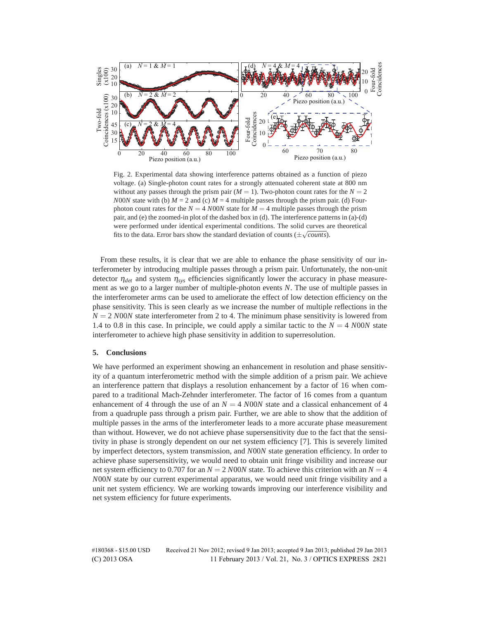

Fig. 2. Experimental data showing interference patterns obtained as a function of piezo voltage. (a) Single-photon count rates for a strongly attenuated coherent state at 800 nm without any passes through the prism pair  $(M = 1)$ . Two-photon count rates for the  $N = 2$ *N*00*N* state with (b)  $M = 2$  and (c)  $M = 4$  multiple passes through the prism pair. (d) Fourphoton count rates for the  $N = 4$  *N*00*N* state for  $M = 4$  multiple passes through the prism pair, and (e) the zoomed-in plot of the dashed box in (d). The interference patterns in (a)-(d) were performed under identical experimental conditions. The solid curves are theoretical fits to the data. Error bars show the standard deviation of counts ( $\pm\sqrt{counts}$ ).

From these results, it is clear that we are able to enhance the phase sensitivity of our interferometer by introducing multiple passes through a prism pair. Unfortunately, the non-unit detector  $\eta_{det}$  and system  $\eta_{sys}$  efficiencies significantly lower the accuracy in phase measurement as we go to a larger number of multiple-photon events *N*. The use of multiple passes in the interferometer arms can be used to ameliorate the effect of low detection efficiency on the phase sensitivity. This is seen clearly as we increase the number of multiple reflections in the  $N = 2$  *N*00*N* state interferometer from 2 to 4. The minimum phase sensitivity is lowered from 1.4 to 0.8 in this case. In principle, we could apply a similar tactic to the  $N = 4 N00N$  state interferometer to achieve high phase sensitivity in addition to superresolution.

### **5. Conclusions**

We have performed an experiment showing an enhancement in resolution and phase sensitivity of a quantum interferometric method with the simple addition of a prism pair. We achieve an interference pattern that displays a resolution enhancement by a factor of 16 when compared to a traditional Mach-Zehnder interferometer. The factor of 16 comes from a quantum enhancement of 4 through the use of an  $N = 4$  *NOON* state and a classical enhancement of 4 from a quadruple pass through a prism pair. Further, we are able to show that the addition of multiple passes in the arms of the interferometer leads to a more accurate phase measurement than without. However, we do not achieve phase supersensitivity due to the fact that the sensitivity in phase is strongly dependent on our net system efficiency [7]. This is severely limited by imperfect detectors, system transmission, and *N*00*N* state generation efficiency. In order to achieve phase supersensitivity, we would need to obtain unit fringe visibility and increase our net system efficiency to 0.707 for an  $N = 2$  *N*00*N* state. To achieve this criterion with an  $N = 4$ *N*00*N* state by our current experimental apparatus, we would need unit fringe visibility and a unit net system efficiency. We are working towards improving our interference visibility and net system efficiency for future experiments.